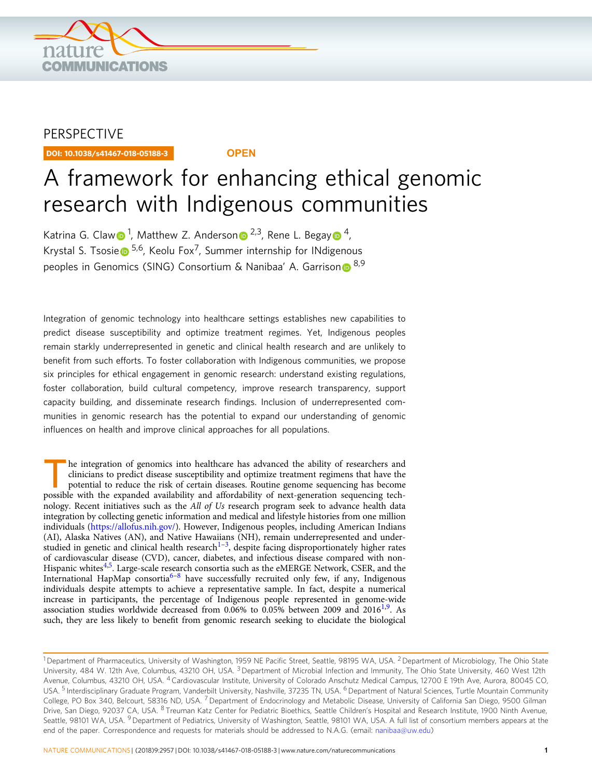

## **PERSPECTIVE**

DOI: 10.1038/s41467-018-05188-3 **OPEN**

# A framework for enhancing ethical genomic research with Indigenous communities

Katrina G. Cla[w](http://orcid.org/0000-0003-2239-5018) $\bigcirc$  <sup>[1](http://orcid.org/0000-0003-2239-5018)</sup>, Matthew Z. A[n](http://orcid.org/0000-0003-1683-2170)derson  $\bigcirc$  <sup>[2](http://orcid.org/0000-0003-1683-2170),3</sup>, Rene L. Bega[y](http://orcid.org/0000-0002-3650-4417) $\bigcirc$  <sup>4</sup>, Krystal S. Tsosi[e](http://orcid.org/0000-0002-7291-670X)  $\bullet$  <sup>5,6</sup>, Keolu Fox<sup>7</sup>, Summer internship for INdigenous peoples i[n](http://orcid.org/0000-0002-6228-3216) Genomics (SING) Consortium & Nanibaa' A. Garrison<sup>6[8](http://orcid.org/0000-0002-6228-3216),9</sup>

Integration of genomic technology into healthcare settings establishes new capabilities to predict disease susceptibility and optimize treatment regimes. Yet, Indigenous peoples remain starkly underrepresented in genetic and clinical health research and are unlikely to benefit from such efforts. To foster collaboration with Indigenous communities, we propose six principles for ethical engagement in genomic research: understand existing regulations, foster collaboration, build cultural competency, improve research transparency, support capacity building, and disseminate research findings. Inclusion of underrepresented communities in genomic research has the potential to expand our understanding of genomic influences on health and improve clinical approaches for all populations.

The integration of genomics into healthcare has advanced the ability of researchers and clinicians to predict disease susceptibility and optimize treatment regimens that have the potential to reduce the risk of certain diseases. Routine genome sequencing has become possible with the expanded availability and affordability of next-generation sequencing technology. Recent initiatives such as the *All of Us* research program seek to advance health data integration by collecting genetic information and medical and lifestyle histories from one million individuals [\(https://allofus.nih.gov/](https://allofus.nih.gov/)). However, Indigenous peoples, including American Indians (AI), Alaska Natives (AN), and Native Hawaiians (NH), remain underrepresented and under-studied in genetic and clinical health research<sup>[1](#page-5-0)-[3](#page-5-0)</sup>, despite facing disproportionately higher rates of cardiovascular disease (CVD), cancer, diabetes, and infectious disease compared with non-Hispanic whites<sup>4,5</sup>. Large-scale research consortia such as the eMERGE Network, CSER, and the International HapMap consortia<sup>[6](#page-5-0)-[8](#page-5-0)</sup> have successfully recruited only few, if any, Indigenous individuals despite attempts to achieve a representative sample. In fact, despite a numerical increase in participants, the percentage of Indigenous people represented in genome-wide association studies worldwide decreased from  $0.06\%$  to  $0.05\%$  between 2009 and 2016<sup>[1,9](#page-5-0)</sup>. As such, they are less likely to benefit from genomic research seeking to elucidate the biological

<sup>&</sup>lt;sup>1</sup> Department of Pharmaceutics, University of Washington, 1959 NE Pacific Street, Seattle, 98195 WA, USA. <sup>2</sup> Department of Microbiology, The Ohio State University, 484 W. 12th Ave, Columbus, 43210 OH, USA. <sup>3</sup> Department of Microbial Infection and Immunity, The Ohio State University, 460 West 12th Avenue, Columbus, 43210 OH, USA. <sup>4</sup> Cardiovascular Institute, University of Colorado Anschutz Medical Campus, 12700 E 19th Ave, Aurora, 80045 CO, USA.<sup>5</sup> Interdisciplinary Graduate Program, Vanderbilt University, Nashville, 37235 TN, USA. <sup>6</sup> Department of Natural Sciences, Turtle Mountain Community College, PO Box 340, Belcourt, 58316 ND, USA. <sup>7</sup> Department of Endocrinology and Metabolic Disease, University of California San Diego, 9500 Gilman Drive, San Diego, 92037 CA, USA. <sup>8</sup> Treuman Katz Center for Pediatric Bioethics, Seattle Children's Hospital and Research Institute, 1900 Ninth Avenue, Seattle, 98101 WA, USA. <sup>9</sup> Department of Pediatrics, University of Washington, Seattle, 98101 WA, USA. A full list of consortium members appears at the end of the paper. Correspondence and requests for materials should be addressed to N.A.G. (email: [nanibaa@uw.edu](mailto:nanibaa@uw.edu))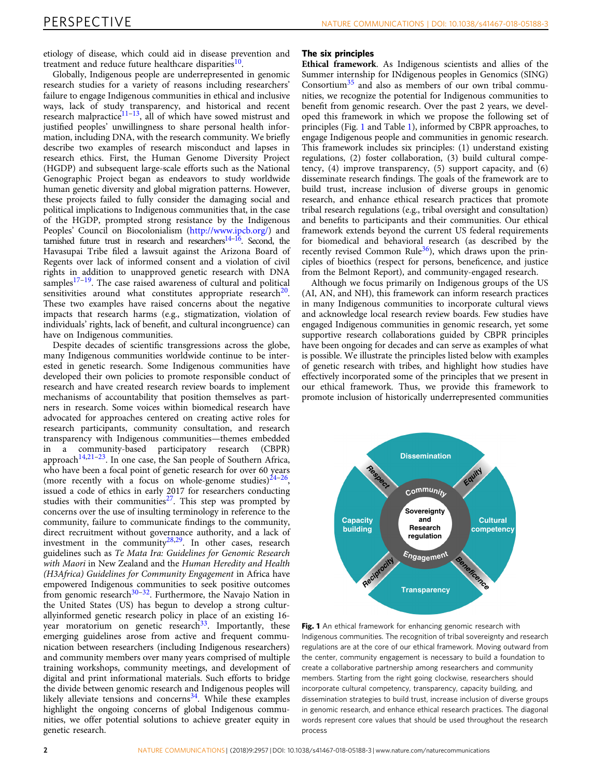etiology of disease, which could aid in disease prevention and treatment and reduce future healthcare disparities $10$ .

Globally, Indigenous people are underrepresented in genomic research studies for a variety of reasons including researchers' failure to engage Indigenous communities in ethical and inclusive ways, lack of study transparency, and historical and recent research malpractice<sup>[11](#page-5-0)–13</sup>, all of which have sowed mistrust and justified peoples' unwillingness to share personal health information, including DNA, with the research community. We briefly describe two examples of research misconduct and lapses in research ethics. First, the Human Genome Diversity Project (HGDP) and subsequent large-scale efforts such as the National Genographic Project began as endeavors to study worldwide human genetic diversity and global migration patterns. However, these projects failed to fully consider the damaging social and political implications to Indigenous communities that, in the case of the HGDP, prompted strong resistance by the Indigenous Peoples' Council on Biocolonialism ([http://www.ipcb.org/\)](http://www.ipcb.org/) and tarnished future trust in research and researchers $14-16$ . Second, the Havasupai Tribe filed a lawsuit against the Arizona Board of Regents over lack of informed consent and a violation of civil rights in addition to unapproved genetic research with DNA samples $17-19$  $17-19$ . The case raised awareness of cultural and political sensitivities around what constitutes appropriate research $^{20}$ . These two examples have raised concerns about the negative impacts that research harms (e.g., stigmatization, violation of individuals' rights, lack of benefit, and cultural incongruence) can have on Indigenous communities.

Despite decades of scientific transgressions across the globe, many Indigenous communities worldwide continue to be interested in genetic research. Some Indigenous communities have developed their own policies to promote responsible conduct of research and have created research review boards to implement mechanisms of accountability that position themselves as partners in research. Some voices within biomedical research have advocated for approaches centered on creating active roles for research participants, community consultation, and research transparency with Indigenous communities—themes embedded in a community-based participatory research (CBPR) approach<sup>[14](#page-5-0),[21](#page-5-0)–[23](#page-5-0)</sup>. In one case, the San people of Southern Africa, who have been a focal point of genetic research for over 60 years (more recently with a focus on whole-genome studies) $24-26$  $24-26$ , issued a code of ethics in early 2017 for researchers conducting studies with their communities<sup>[27](#page-5-0)</sup>. This step was prompted by concerns over the use of insulting terminology in reference to the community, failure to communicate findings to the community, direct recruitment without governance authority, and a lack of investment in the community $28,29$ . In other cases, research guidelines such as Te Mata Ira: Guidelines for Genomic Research with Maori in New Zealand and the Human Heredity and Health (H3Africa) Guidelines for Community Engagement in Africa have empowered Indigenous communities to seek positive outcomes from genomic research $30-32$  $30-32$ . Furthermore, the Navajo Nation in the United States (US) has begun to develop a strong culturallyinformed genetic research policy in place of an existing 16 year moratorium on genetic research $33$ . Importantly, these emerging guidelines arose from active and frequent communication between researchers (including Indigenous researchers) and community members over many years comprised of multiple training workshops, community meetings, and development of digital and print informational materials. Such efforts to bridge the divide between genomic research and Indigenous peoples will likely alleviate tensions and concerns<sup>34</sup>. While these examples highlight the ongoing concerns of global Indigenous communities, we offer potential solutions to achieve greater equity in genetic research.

## The six principles

Ethical framework. As Indigenous scientists and allies of the Summer internship for INdigenous peoples in Genomics (SING) Consortium $35$  and also as members of our own tribal communities, we recognize the potential for Indigenous communities to benefit from genomic research. Over the past 2 years, we developed this framework in which we propose the following set of principles (Fig. 1 and Table [1](#page-2-0)), informed by CBPR approaches, to engage Indigenous people and communities in genomic research. This framework includes six principles: (1) understand existing regulations, (2) foster collaboration, (3) build cultural competency, (4) improve transparency, (5) support capacity, and (6) disseminate research findings. The goals of the framework are to build trust, increase inclusion of diverse groups in genomic research, and enhance ethical research practices that promote tribal research regulations (e.g., tribal oversight and consultation) and benefits to participants and their communities. Our ethical framework extends beyond the current US federal requirements for biomedical and behavioral research (as described by the recently revised Common Rule<sup>36</sup>), which draws upon the principles of bioethics (respect for persons, beneficence, and justice from the Belmont Report), and community-engaged research.

Although we focus primarily on Indigenous groups of the US (AI, AN, and NH), this framework can inform research practices in many Indigenous communities to incorporate cultural views and acknowledge local research review boards. Few studies have engaged Indigenous communities in genomic research, yet some supportive research collaborations guided by CBPR principles have been ongoing for decades and can serve as examples of what is possible. We illustrate the principles listed below with examples of genetic research with tribes, and highlight how studies have effectively incorporated some of the principles that we present in our ethical framework. Thus, we provide this framework to promote inclusion of historically underrepresented communities



Fig. 1 An ethical framework for enhancing genomic research with Indigenous communities. The recognition of tribal sovereignty and research regulations are at the core of our ethical framework. Moving outward from the center, community engagement is necessary to build a foundation to create a collaborative partnership among researchers and community members. Starting from the right going clockwise, researchers should incorporate cultural competency, transparency, capacity building, and dissemination strategies to build trust, increase inclusion of diverse groups in genomic research, and enhance ethical research practices. The diagonal words represent core values that should be used throughout the research process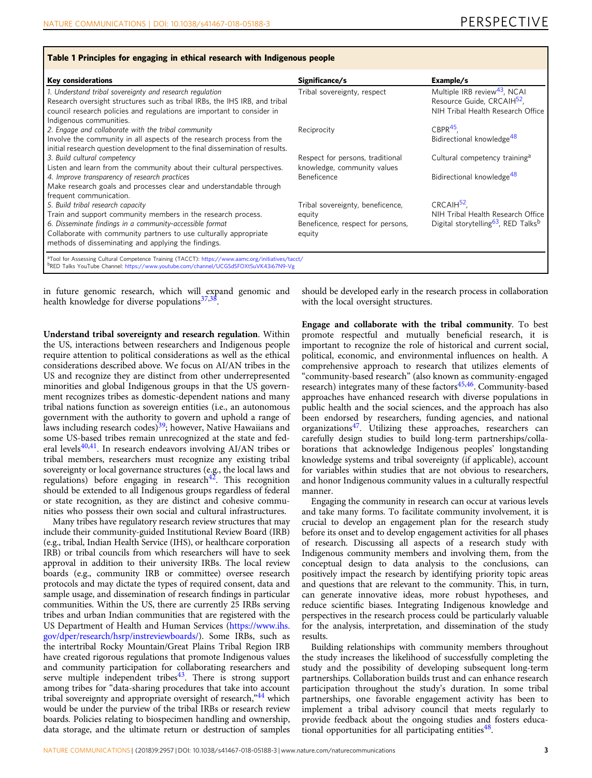<span id="page-2-0"></span>

| Table 1 Principles for engaging in ethical research with Indigenous people                                                                                                                                                                  |                                                                 |                                                                                                                         |
|---------------------------------------------------------------------------------------------------------------------------------------------------------------------------------------------------------------------------------------------|-----------------------------------------------------------------|-------------------------------------------------------------------------------------------------------------------------|
| <b>Key considerations</b>                                                                                                                                                                                                                   | Significance/s                                                  | Example/s                                                                                                               |
| 1. Understand tribal sovereignty and research regulation<br>Research oversight structures such as tribal IRBs, the IHS IRB, and tribal<br>council research policies and regulations are important to consider in<br>Indigenous communities. | Tribal sovereignty, respect                                     | Multiple IRB review <sup>43</sup> , NCAI<br>Resource Guide, CRCAIH <sup>52</sup> ,<br>NIH Tribal Health Research Office |
| 2. Engage and collaborate with the tribal community<br>Involve the community in all aspects of the research process from the<br>initial research question development to the final dissemination of results.                                | Reciprocity                                                     | CBPR <sup>45</sup><br>Bidirectional knowledge <sup>48</sup>                                                             |
| 3. Build cultural competency<br>Listen and learn from the community about their cultural perspectives.                                                                                                                                      | Respect for persons, traditional<br>knowledge, community values | Cultural competency training <sup>a</sup>                                                                               |
| 4. Improve transparency of research practices<br>Make research goals and processes clear and understandable through<br>frequent communication.                                                                                              | Beneficence                                                     | Bidirectional knowledge <sup>48</sup>                                                                                   |
| 5. Build tribal research capacity                                                                                                                                                                                                           | Tribal sovereignty, beneficence,                                | CRCAIH <sup>52</sup> .                                                                                                  |
| Train and support community members in the research process.                                                                                                                                                                                | equity                                                          | NIH Tribal Health Research Office                                                                                       |
| 6. Disseminate findings in a community-accessible format                                                                                                                                                                                    | Beneficence, respect for persons,                               | Digital storytelling <sup>63</sup> , RED Talks <sup>b</sup>                                                             |
| Collaborate with community partners to use culturally appropriate<br>methods of disseminating and applying the findings.                                                                                                                    | equity                                                          |                                                                                                                         |
| <sup>a</sup> Tool for Assessing Cultural Competence Training (TACCT): https://www.aamc.org/initiatives/tacct/<br><sup>b</sup> RED Talks YouTube Channel: https://www.youtube.com/channel/UCGSdSFOXt5uVK43i67N9-Vg                           |                                                                 |                                                                                                                         |

in future genomic research, which will expand genomic and health knowledge for diverse populations $37,38$  $37,38$  $37,38$ .

Understand tribal sovereignty and research regulation. Within the US, interactions between researchers and Indigenous people require attention to political considerations as well as the ethical considerations described above. We focus on AI/AN tribes in the US and recognize they are distinct from other underrepresented minorities and global Indigenous groups in that the US government recognizes tribes as domestic-dependent nations and many tribal nations function as sovereign entities (i.e., an autonomous government with the authority to govern and uphold a range of laws including research codes) $39$ ; however, Native Hawaiians and some US-based tribes remain unrecognized at the state and federal levels<sup>40,41</sup>. In research endeavors involving AI/AN tribes or tribal members, researchers must recognize any existing tribal sovereignty or local governance structures (e.g., the local laws and regulations) before engaging in research $^{42}$  $^{42}$  $^{42}$ . This recognition should be extended to all Indigenous groups regardless of federal or state recognition, as they are distinct and cohesive communities who possess their own social and cultural infrastructures.

Many tribes have regulatory research review structures that may include their community-guided Institutional Review Board (IRB) (e.g., tribal, Indian Health Service (IHS), or healthcare corporation IRB) or tribal councils from which researchers will have to seek approval in addition to their university IRBs. The local review boards (e.g., community IRB or committee) oversee research protocols and may dictate the types of required consent, data and sample usage, and dissemination of research findings in particular communities. Within the US, there are currently 25 IRBs serving tribes and urban Indian communities that are registered with the US Department of Health and Human Services ([https://www.ihs.](https://www.ihs.gov/dper/research/hsrp/instreviewboards/) [gov/dper/research/hsrp/instreviewboards/\)](https://www.ihs.gov/dper/research/hsrp/instreviewboards/). Some IRBs, such as the intertribal Rocky Mountain/Great Plains Tribal Region IRB have created rigorous regulations that promote Indigenous values and community participation for collaborating researchers and serve multiple independent tribes $43$ . There is strong support among tribes for "data-sharing procedures that take into account tribal sovereignty and appropriate oversight of research,"[44](#page-5-0) which would be under the purview of the tribal IRBs or research review boards. Policies relating to biospecimen handling and ownership, data storage, and the ultimate return or destruction of samples should be developed early in the research process in collaboration with the local oversight structures.

Engage and collaborate with the tribal community. To best promote respectful and mutually beneficial research, it is important to recognize the role of historical and current social, political, economic, and environmental influences on health. A comprehensive approach to research that utilizes elements of "community-based research" (also known as community-engaged research) integrates many of these factors<sup>45,46</sup>. Community-based approaches have enhanced research with diverse populations in public health and the social sciences, and the approach has also been endorsed by researchers, funding agencies, and national organizations<sup>47</sup>. Utilizing these approaches, researchers can carefully design studies to build long-term partnerships/collaborations that acknowledge Indigenous peoples' longstanding knowledge systems and tribal sovereignty (if applicable), account for variables within studies that are not obvious to researchers, and honor Indigenous community values in a culturally respectful manner.

Engaging the community in research can occur at various levels and take many forms. To facilitate community involvement, it is crucial to develop an engagement plan for the research study before its onset and to develop engagement activities for all phases of research. Discussing all aspects of a research study with Indigenous community members and involving them, from the conceptual design to data analysis to the conclusions, can positively impact the research by identifying priority topic areas and questions that are relevant to the community. This, in turn, can generate innovative ideas, more robust hypotheses, and reduce scientific biases. Integrating Indigenous knowledge and perspectives in the research process could be particularly valuable for the analysis, interpretation, and dissemination of the study results.

Building relationships with community members throughout the study increases the likelihood of successfully completing the study and the possibility of developing subsequent long-term partnerships. Collaboration builds trust and can enhance research participation throughout the study's duration. In some tribal partnerships, one favorable engagement activity has been to implement a tribal advisory council that meets regularly to provide feedback about the ongoing studies and fosters educa-tional opportunities for all participating entities<sup>[48](#page-5-0)</sup>.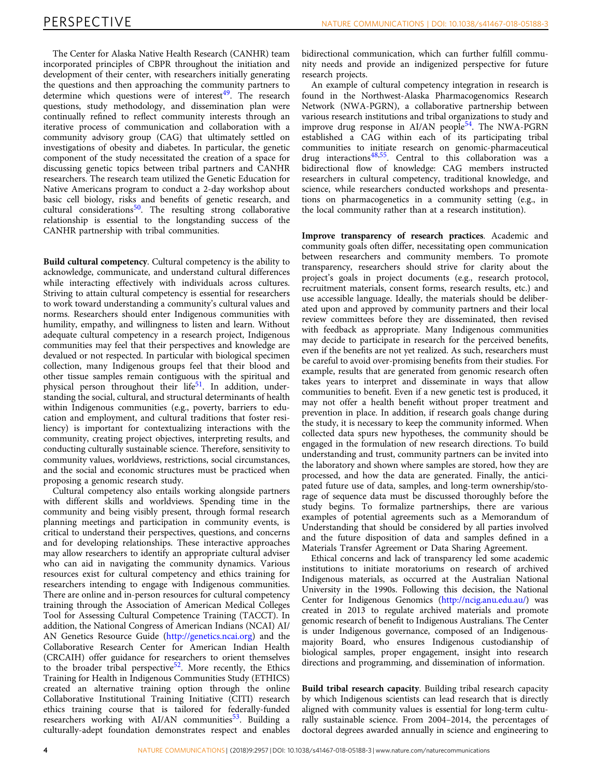The Center for Alaska Native Health Research (CANHR) team incorporated principles of CBPR throughout the initiation and development of their center, with researchers initially generating the questions and then approaching the community partners to determine which questions were of interest $49$ . The research questions, study methodology, and dissemination plan were continually refined to reflect community interests through an iterative process of communication and collaboration with a community advisory group (CAG) that ultimately settled on investigations of obesity and diabetes. In particular, the genetic component of the study necessitated the creation of a space for discussing genetic topics between tribal partners and CANHR researchers. The research team utilized the Genetic Education for Native Americans program to conduct a 2-day workshop about basic cell biology, risks and benefits of genetic research, and cultural considerations $50$ . The resulting strong collaborative relationship is essential to the longstanding success of the CANHR partnership with tribal communities.

Build cultural competency. Cultural competency is the ability to acknowledge, communicate, and understand cultural differences while interacting effectively with individuals across cultures. Striving to attain cultural competency is essential for researchers to work toward understanding a community's cultural values and norms. Researchers should enter Indigenous communities with humility, empathy, and willingness to listen and learn. Without adequate cultural competency in a research project, Indigenous communities may feel that their perspectives and knowledge are devalued or not respected. In particular with biological specimen collection, many Indigenous groups feel that their blood and other tissue samples remain contiguous with the spiritual and physical person throughout their life<sup>51</sup>. In addition, understanding the social, cultural, and structural determinants of health within Indigenous communities (e.g., poverty, barriers to education and employment, and cultural traditions that foster resiliency) is important for contextualizing interactions with the community, creating project objectives, interpreting results, and conducting culturally sustainable science. Therefore, sensitivity to community values, worldviews, restrictions, social circumstances, and the social and economic structures must be practiced when proposing a genomic research study.

Cultural competency also entails working alongside partners with different skills and worldviews. Spending time in the community and being visibly present, through formal research planning meetings and participation in community events, is critical to understand their perspectives, questions, and concerns and for developing relationships. These interactive approaches may allow researchers to identify an appropriate cultural adviser who can aid in navigating the community dynamics. Various resources exist for cultural competency and ethics training for researchers intending to engage with Indigenous communities. There are online and in-person resources for cultural competency training through the Association of American Medical Colleges Tool for Assessing Cultural Competence Training (TACCT). In addition, the National Congress of American Indians (NCAI) AI/ AN Genetics Resource Guide [\(http://genetics.ncai.org\)](http://genetics.ncai.org) and the Collaborative Research Center for American Indian Health (CRCAIH) offer guidance for researchers to orient themselves to the broader tribal perspective<sup>52</sup>. More recently, the Ethics Training for Health in Indigenous Communities Study (ETHICS) created an alternative training option through the online Collaborative Institutional Training Initiative (CITI) research ethics training course that is tailored for federally-funded researchers working with AI/AN communities $53$ . Building a culturally-adept foundation demonstrates respect and enables bidirectional communication, which can further fulfill community needs and provide an indigenized perspective for future research projects.

An example of cultural competency integration in research is found in the Northwest-Alaska Pharmacogenomics Research Network (NWA-PGRN), a collaborative partnership between various research institutions and tribal organizations to study and improve drug response in  $AI/AN$  people<sup>54</sup>. The NWA-PGRN established a CAG within each of its participating tribal communities to initiate research on genomic-pharmaceutical drug interactions<sup>[48](#page-5-0),[55](#page-6-0)</sup>. Central to this collaboration was a bidirectional flow of knowledge: CAG members instructed researchers in cultural competency, traditional knowledge, and science, while researchers conducted workshops and presentations on pharmacogenetics in a community setting (e.g., in the local community rather than at a research institution).

Improve transparency of research practices. Academic and community goals often differ, necessitating open communication between researchers and community members. To promote transparency, researchers should strive for clarity about the project's goals in project documents (e.g., research protocol, recruitment materials, consent forms, research results, etc.) and use accessible language. Ideally, the materials should be deliberated upon and approved by community partners and their local review committees before they are disseminated, then revised with feedback as appropriate. Many Indigenous communities may decide to participate in research for the perceived benefits, even if the benefits are not yet realized. As such, researchers must be careful to avoid over-promising benefits from their studies. For example, results that are generated from genomic research often takes years to interpret and disseminate in ways that allow communities to benefit. Even if a new genetic test is produced, it may not offer a health benefit without proper treatment and prevention in place. In addition, if research goals change during the study, it is necessary to keep the community informed. When collected data spurs new hypotheses, the community should be engaged in the formulation of new research directions. To build understanding and trust, community partners can be invited into the laboratory and shown where samples are stored, how they are processed, and how the data are generated. Finally, the anticipated future use of data, samples, and long-term ownership/storage of sequence data must be discussed thoroughly before the study begins. To formalize partnerships, there are various examples of potential agreements such as a Memorandum of Understanding that should be considered by all parties involved and the future disposition of data and samples defined in a Materials Transfer Agreement or Data Sharing Agreement.

Ethical concerns and lack of transparency led some academic institutions to initiate moratoriums on research of archived Indigenous materials, as occurred at the Australian National University in the 1990s. Following this decision, the National Center for Indigenous Genomics [\(http://ncig.anu.edu.au/](http://ncig.anu.edu.au/)) was created in 2013 to regulate archived materials and promote genomic research of benefit to Indigenous Australians. The Center is under Indigenous governance, composed of an Indigenousmajority Board, who ensures Indigenous custodianship of biological samples, proper engagement, insight into research directions and programming, and dissemination of information.

Build tribal research capacity. Building tribal research capacity by which Indigenous scientists can lead research that is directly aligned with community values is essential for long-term culturally sustainable science. From 2004–2014, the percentages of doctoral degrees awarded annually in science and engineering to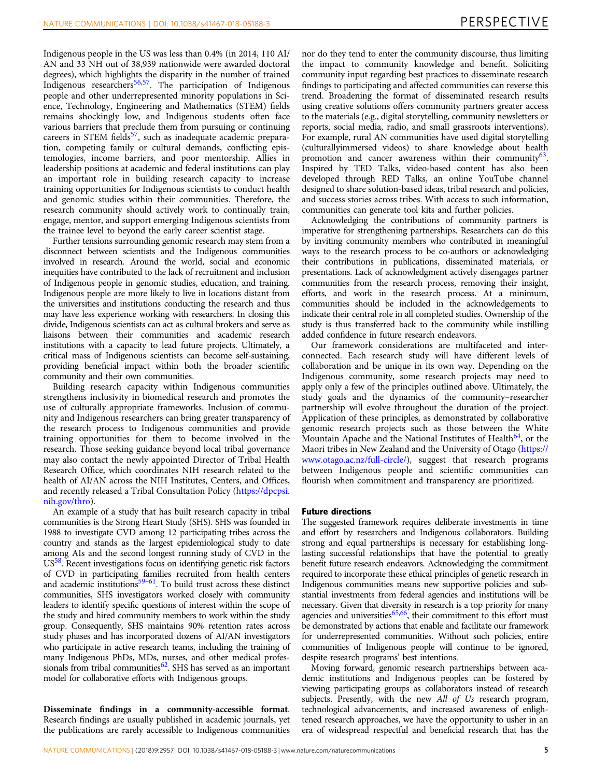Indigenous people in the US was less than 0.4% (in 2014, 110 AI/ AN and 33 NH out of 38,939 nationwide were awarded doctoral degrees), which highlights the disparity in the number of trained Indigenous researchers<sup>56,57</sup>. The participation of Indigenous people and other underrepresented minority populations in Science, Technology, Engineering and Mathematics (STEM) fields remains shockingly low, and Indigenous students often face various barriers that preclude them from pursuing or continuing careers in STEM fields<sup>57</sup>, such as inadequate academic preparation, competing family or cultural demands, conflicting epistemologies, income barriers, and poor mentorship. Allies in leadership positions at academic and federal institutions can play an important role in building research capacity to increase training opportunities for Indigenous scientists to conduct health and genomic studies within their communities. Therefore, the research community should actively work to continually train, engage, mentor, and support emerging Indigenous scientists from the trainee level to beyond the early career scientist stage.

Further tensions surrounding genomic research may stem from a disconnect between scientists and the Indigenous communities involved in research. Around the world, social and economic inequities have contributed to the lack of recruitment and inclusion of Indigenous people in genomic studies, education, and training. Indigenous people are more likely to live in locations distant from the universities and institutions conducting the research and thus may have less experience working with researchers. In closing this divide, Indigenous scientists can act as cultural brokers and serve as liaisons between their communities and academic research institutions with a capacity to lead future projects. Ultimately, a critical mass of Indigenous scientists can become self-sustaining, providing beneficial impact within both the broader scientific community and their own communities.

Building research capacity within Indigenous communities strengthens inclusivity in biomedical research and promotes the use of culturally appropriate frameworks. Inclusion of community and Indigenous researchers can bring greater transparency of the research process to Indigenous communities and provide training opportunities for them to become involved in the research. Those seeking guidance beyond local tribal governance may also contact the newly appointed Director of Tribal Health Research Office, which coordinates NIH research related to the health of AI/AN across the NIH Institutes, Centers, and Offices, and recently released a Tribal Consultation Policy ([https://dpcpsi.](https://dpcpsi.nih.gov/thro) [nih.gov/thro\)](https://dpcpsi.nih.gov/thro).

An example of a study that has built research capacity in tribal communities is the Strong Heart Study (SHS). SHS was founded in 1988 to investigate CVD among 12 participating tribes across the country and stands as the largest epidemiological study to date among AIs and the second longest running study of CVD in the US<sup>58</sup>. Recent investigations focus on identifying genetic risk factors of CVD in participating families recruited from health centers and academic institutions $59-61$ . To build trust across these distinct communities, SHS investigators worked closely with community leaders to identify specific questions of interest within the scope of the study and hired community members to work within the study group. Consequently, SHS maintains 90% retention rates across study phases and has incorporated dozens of AI/AN investigators who participate in active research teams, including the training of many Indigenous PhDs, MDs, nurses, and other medical professionals from tribal communities<sup>62</sup>. SHS has served as an important model for collaborative efforts with Indigenous groups.

Disseminate findings in a community-accessible format. Research findings are usually published in academic journals, yet the publications are rarely accessible to Indigenous communities nor do they tend to enter the community discourse, thus limiting the impact to community knowledge and benefit. Soliciting community input regarding best practices to disseminate research findings to participating and affected communities can reverse this trend. Broadening the format of disseminated research results using creative solutions offers community partners greater access to the materials (e.g., digital storytelling, community newsletters or reports, social media, radio, and small grassroots interventions). For example, rural AN communities have used digital storytelling (culturallyimmersed videos) to share knowledge about health promotion and cancer awareness within their community $63$ . Inspired by TED Talks, video-based content has also been developed through RED Talks, an online YouTube channel designed to share solution-based ideas, tribal research and policies, and success stories across tribes. With access to such information, communities can generate tool kits and further policies.

Acknowledging the contributions of community partners is imperative for strengthening partnerships. Researchers can do this by inviting community members who contributed in meaningful ways to the research process to be co-authors or acknowledging their contributions in publications, disseminated materials, or presentations. Lack of acknowledgment actively disengages partner communities from the research process, removing their insight, efforts, and work in the research process. At a minimum, communities should be included in the acknowledgements to indicate their central role in all completed studies. Ownership of the study is thus transferred back to the community while instilling added confidence in future research endeavors.

Our framework considerations are multifaceted and interconnected. Each research study will have different levels of collaboration and be unique in its own way. Depending on the Indigenous community, some research projects may need to apply only a few of the principles outlined above. Ultimately, the study goals and the dynamics of the community–researcher partnership will evolve throughout the duration of the project. Application of these principles, as demonstrated by collaborative genomic research projects such as those between the White Mountain Apache and the National Institutes of Health<sup>64</sup>, or the Maori tribes in New Zealand and the University of Otago [\(https://](https://www.otago.ac.nz/full-circle/) [www.otago.ac.nz/full-circle/\)](https://www.otago.ac.nz/full-circle/), suggest that research programs between Indigenous people and scientific communities can flourish when commitment and transparency are prioritized.

### Future directions

The suggested framework requires deliberate investments in time and effort by researchers and Indigenous collaborators. Building strong and equal partnerships is necessary for establishing longlasting successful relationships that have the potential to greatly benefit future research endeavors. Acknowledging the commitment required to incorporate these ethical principles of genetic research in Indigenous communities means new supportive policies and substantial investments from federal agencies and institutions will be necessary. Given that diversity in research is a top priority for many agencies and universities $65,66$ , their commitment to this effort must be demonstrated by actions that enable and facilitate our framework for underrepresented communities. Without such policies, entire communities of Indigenous people will continue to be ignored, despite research programs' best intentions.

Moving forward, genomic research partnerships between academic institutions and Indigenous peoples can be fostered by viewing participating groups as collaborators instead of research subjects. Presently, with the new All of Us research program, technological advancements, and increased awareness of enlightened research approaches, we have the opportunity to usher in an era of widespread respectful and beneficial research that has the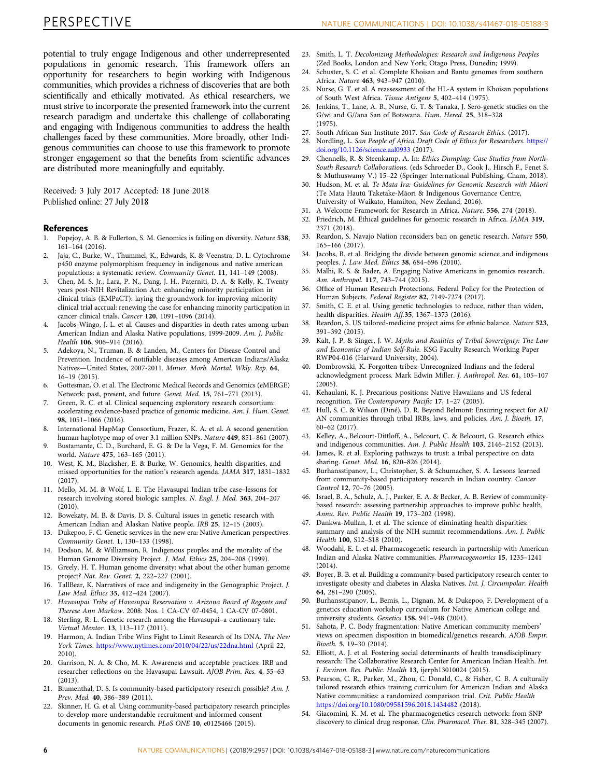<span id="page-5-0"></span>potential to truly engage Indigenous and other underrepresented populations in genomic research. This framework offers an opportunity for researchers to begin working with Indigenous communities, which provides a richness of discoveries that are both scientifically and ethically motivated. As ethical researchers, we must strive to incorporate the presented framework into the current research paradigm and undertake this challenge of collaborating and engaging with Indigenous communities to address the health challenges faced by these communities. More broadly, other Indigenous communities can choose to use this framework to promote stronger engagement so that the benefits from scientific advances are distributed more meaningfully and equitably.

Received: 3 July 2017 Accepted: 18 June 2018 Published online: 27 July 2018

## **References**<br>1. Popeiov, A

- Popejoy, A. B. & Fullerton, S. M. Genomics is failing on diversity. Nature 538, 161–164 (2016).
- 2. Jaja, C., Burke, W., Thummel, K., Edwards, K. & Veenstra, D. L. Cytochrome p450 enzyme polymorphism frequency in indigenous and native american populations: a systematic review. Community Genet. 11, 141–149 (2008).
- 3. Chen, M. S. Jr., Lara, P. N., Dang, J. H., Paterniti, D. A. & Kelly, K. Twenty years post-NIH Revitalization Act: enhancing minority participation in clinical trials (EMPaCT): laying the groundwork for improving minority clinical trial accrual: renewing the case for enhancing minority participation in cancer clinical trials. Cancer 120, 1091–1096 (2014).
- 4. Jacobs-Wingo, J. L. et al. Causes and disparities in death rates among urban American Indian and Alaska Native populations, 1999-2009. Am. J. Public Health 106, 906–914 (2016).
- 5. Adekoya, N., Truman, B. & Landen, M., Centers for Disease Control and Prevention. Incidence of notifiable diseases among American Indians/Alaska Natives—United States, 2007-2011. Mmwr. Morb. Mortal. Wkly. Rep. 64, 16–19 (2015).
- 6. Gottesman, O. et al. The Electronic Medical Records and Genomics (eMERGE) Network: past, present, and future. Genet. Med. 15, 761–771 (2013).
- 7. Green, R. C. et al. Clinical sequencing exploratory research consortium: accelerating evidence-based practice of genomic medicine. Am. J. Hum. Genet. 98, 1051–1066 (2016).
- 8. International HapMap Consortium, Frazer, K. A. et al. A second generation human haplotype map of over 3.1 million SNPs. Nature 449, 851-861 (2007).
- 9. Bustamante, C. D., Burchard, E. G. & De la Vega, F. M. Genomics for the world. Nature 475, 163–165 (2011).
- 10. West, K. M., Blacksher, E. & Burke, W. Genomics, health disparities, and missed opportunities for the nation's research agenda. JAMA 317, 1831–1832 (2017).
- 11. Mello, M. M. & Wolf, L. E. The Havasupai Indian tribe case–lessons for research involving stored biologic samples. N. Engl. J. Med. 363, 204–207  $(2010)$
- 12. Bowekaty, M. B. & Davis, D. S. Cultural issues in genetic research with American Indian and Alaskan Native people. IRB 25, 12–15 (2003).
- 13. Dukepoo, F. C. Genetic services in the new era: Native American perspectives. Community Genet. 1, 130–133 (1998).
- 14. Dodson, M. & Williamson, R. Indigenous peoples and the morality of the Human Genome Diversity Project. J. Med. Ethics 25, 204–208 (1999).
- 15. Greely, H. T. Human genome diversity: what about the other human genome project? Nat. Rev. Genet. 2, 222–227 (2001).
- 16. TallBear, K. Narratives of race and indigeneity in the Genographic Project. J. Law Med. Ethics 35, 412–424 (2007).
- 17. Havasupai Tribe of Havasupai Reservation v. Arizona Board of Regents and Therese Ann Markow. 2008: Nos. 1 CA-CV 07-0454, 1 CA-CV 07-0801.
- 18. Sterling, R. L. Genetic research among the Havasupai–a cautionary tale. Virtual Mentor. 13, 113–117 (2011).
- 19. Harmon, A. Indian Tribe Wins Fight to Limit Research of Its DNA. The New York Times. <https://www.nytimes.com/2010/04/22/us/22dna.html> (April 22, 2010).
- 20. Garrison, N. A. & Cho, M. K. Awareness and acceptable practices: IRB and researcher reflections on the Havasupai Lawsuit. AJOB Prim. Res. 4, 55–63 (2013).
- 21. Blumenthal, D. S. Is community-based participatory research possible? Am. J. Prev. Med. 40, 386–389 (2011).
- 22. Skinner, H. G. et al. Using community-based participatory research principles to develop more understandable recruitment and informed consent documents in genomic research. PLoS ONE 10, e0125466 (2015).
- 23. Smith, L. T. Decolonizing Methodologies: Research and Indigenous Peoples (Zed Books, London and New York; Otago Press, Dunedin; 1999).
- 24. Schuster, S. C. et al. Complete Khoisan and Bantu genomes from southern Africa. Nature 463, 943–947 (2010).
- 25. Nurse, G. T. et al. A reassessment of the HL-A system in Khoisan populations of South West Africa. Tissue Antigens 5, 402–414 (1975).
- 26. Jenkins, T., Lane, A. B., Nurse, G. T. & Tanaka, J. Sero-genetic studies on the G/wi and G//ana San of Botswana. Hum. Hered. 25, 318–328 (1975).
- 27. South African San Institute 2017. San Code of Research Ethics. (2017).
- 28. Nordling, L. San People of Africa Draft Code of Ethics for Researchers. [https://](https://doi.org/10.1126/science.aal0933) [doi.org/10.1126/science.aal0933](https://doi.org/10.1126/science.aal0933) (2017).
- 29. Chennells, R. & Steenkamp, A. In: Ethics Dumping: Case Studies from North-South Research Collaborations. (eds Schroeder D., Cook J., Hirsch F., Fenet S. & Muthuswamy V.) 15–22 (Springer International Publishing, Cham, 2018).
- 30. Hudson, M. et al. Te Mata Ira: Guidelines for Genomic Research with Māori (Te Mata Hautū Taketake-Māori & Indigenous Governance Centre,
- University of Waikato, Hamilton, New Zealand, 2016). 31. A Welcome Framework for Research in Africa. Nature. 556, 274 (2018).
- 32. Friedrich, M. Ethical guidelines for genomic research in Africa. JAMA 319,
- 2371 (2018).
- 33. Reardon, S. Navajo Nation reconsiders ban on genetic research. Nature 550, 165–166 (2017).
- 34. Jacobs, B. et al. Bridging the divide between genomic science and indigenous peoples. J. Law Med. Ethics 38, 684–696 (2010).
- 35. Malhi, R. S. & Bader, A. Engaging Native Americans in genomics research. Am. Anthropol. 117, 743–744 (2015).
- 36. Office of Human Research Protections. Federal Policy for the Protection of Human Subjects. Federal Register 82, 7149-7274 (2017).
- 37. Smith, C. E. et al. Using genetic technologies to reduce, rather than widen, health disparities. Health Aff.35, 1367-1373 (2016).
- 38. Reardon, S. US tailored-medicine project aims for ethnic balance. Nature 523, 391–392 (2015).
- 39. Kalt, J. P. & Singer, J. W. Myths and Realities of Tribal Sovereignty: The Law and Economics of Indian Self-Rule. KSG Faculty Research Working Paper RWP04-016 (Harvard University, 2004).
- 40. Dombrowski, K. Forgotten tribes: Unrecognized Indians and the federal acknowledgment process. Mark Edwin Miller. J. Anthropol. Res. 61, 105–107 (2005).
- 41. Kehaulani, K. J. Precarious positions: Native Hawaiians and US federal recognition. The Contemporary Pacific 17, 1–27 (2005).
- 42. Hull, S. C. & Wilson (Diné), D. R. Beyond Belmont: Ensuring respect for AI/ AN communities through tribal IRBs, laws, and policies. Am. J. Bioeth. 17, 60–62 (2017).
- 43. Kelley, A., Belcourt-Dittloff, A., Belcourt, C. & Belcourt, G. Research ethics and indigenous communities. Am. J. Public Health 103, 2146–2152 (2013).
- James, R. et al. Exploring pathways to trust: a tribal perspective on data sharing. Genet. Med. 16, 820–826 (2014).
- 45. Burhansstipanov, L., Christopher, S. & Schumacher, S. A. Lessons learned from community-based participatory research in Indian country. Cancer Control 12, 70–76 (2005).
- 46. Israel, B. A., Schulz, A. J., Parker, E. A. & Becker, A. B. Review of communitybased research: assessing partnership approaches to improve public health. Annu. Rev. Public Health 19, 173–202 (1998).
- 47. Dankwa-Mullan, I. et al. The science of eliminating health disparities: summary and analysis of the NIH summit recommendations. Am. J. Public Health 100, S12–S18 (2010).
- 48. Woodahl, E. L. et al. Pharmacogenetic research in partnership with American Indian and Alaska Native communities. Pharmacogenomics 15, 1235–1241  $(2014)$
- 49. Boyer, B. B. et al. Building a community-based participatory research center to investigate obesity and diabetes in Alaska Natives. Int. J. Circumpolar. Health 64, 281–290 (2005).
- 50. Burhansstipanov, L., Bemis, L., Dignan, M. & Dukepoo, F. Development of a genetics education workshop curriculum for Native American college and university students. Genetics 158, 941–948 (2001).
- 51. Sahota, P. C. Body fragmentation: Native American community members' views on specimen disposition in biomedical/genetics research. AJOB Empir. Bioeth. 5, 19–30 (2014).
- 52. Elliott, A. J. et al. Fostering social determinants of health transdisciplinary research: The Collaborative Research Center for American Indian Health. Int. J. Environ. Res. Public. Health 13, ijerph13010024 (2015).
- 53. Pearson, C. R., Parker, M., Zhou, C. Donald, C., & Fisher, C. B. A culturally tailored research ethics training curriculum for American Indian and Alaska Native communities: a randomized comparison trial. Crit. Public Health <https://doi.org/10.1080/09581596.2018.1434482> (2018).
- 54. Giacomini, K. M. et al. The pharmacogenetics research network: from SNP discovery to clinical drug response. Clin. Pharmacol. Ther. 81, 328–345 (2007).